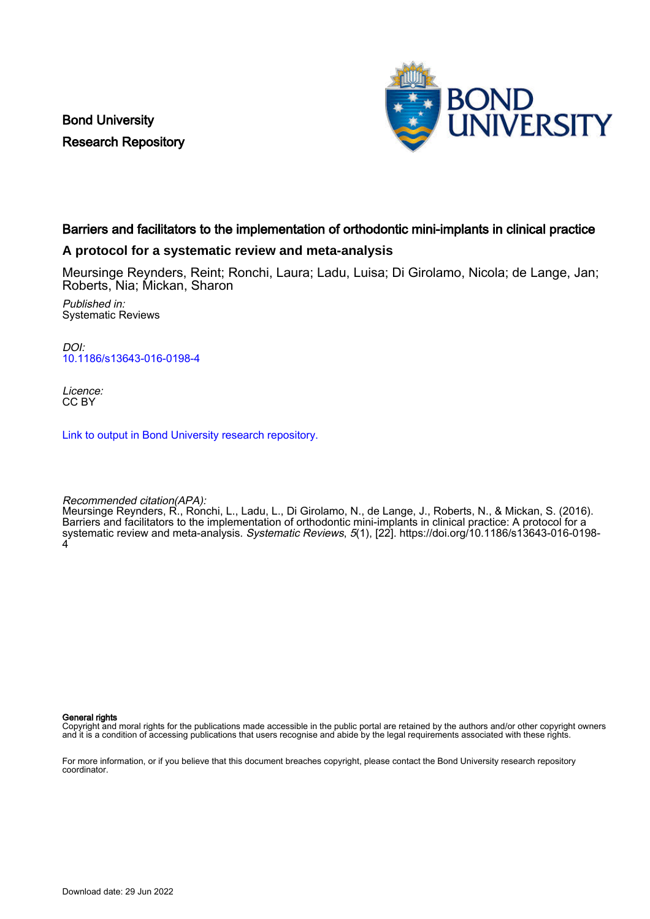Bond University Research Repository



# Barriers and facilitators to the implementation of orthodontic mini-implants in clinical practice

# **A protocol for a systematic review and meta-analysis**

Meursinge Reynders, Reint; Ronchi, Laura; Ladu, Luisa; Di Girolamo, Nicola; de Lange, Jan; Roberts, Nia; Mickan, Sharon

Published in: Systematic Reviews

 $D$  $O$ [10.1186/s13643-016-0198-4](https://doi.org/10.1186/s13643-016-0198-4)

Licence: CC BY

[Link to output in Bond University research repository.](https://research.bond.edu.au/en/publications/167b5453-e0dc-4b49-b01b-cce3fe3e9947)

Recommended citation(APA):

Meursinge Reynders, R., Ronchi, L., Ladu, L., Di Girolamo, N., de Lange, J., Roberts, N., & Mickan, S. (2016). Barriers and facilitators to the implementation of orthodontic mini-implants in clinical practice: A protocol for a systematic review and meta-analysis. Systematic Reviews, 5(1), [22]. [https://doi.org/10.1186/s13643-016-0198-](https://doi.org/10.1186/s13643-016-0198-4) [4](https://doi.org/10.1186/s13643-016-0198-4)

General rights

Copyright and moral rights for the publications made accessible in the public portal are retained by the authors and/or other copyright owners and it is a condition of accessing publications that users recognise and abide by the legal requirements associated with these rights.

For more information, or if you believe that this document breaches copyright, please contact the Bond University research repository coordinator.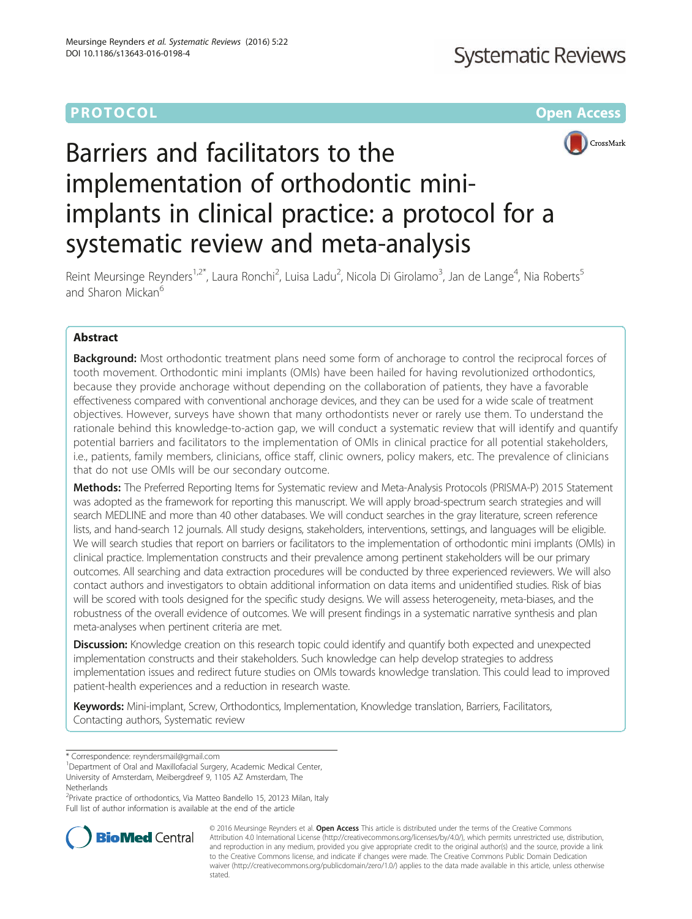# **PROTOCOL CONSUMING THE OPEN ACCESS**



# Barriers and facilitators to the implementation of orthodontic miniimplants in clinical practice: a protocol for a systematic review and meta-analysis

Reint Meursinge Reynders<sup>1,2\*</sup>, Laura Ronchi<sup>2</sup>, Luisa Ladu<sup>2</sup>, Nicola Di Girolamo<sup>3</sup>, Jan de Lange<sup>4</sup>, Nia Roberts<sup>5</sup> and Sharon Mickan<sup>6</sup>

# Abstract

**Background:** Most orthodontic treatment plans need some form of anchorage to control the reciprocal forces of tooth movement. Orthodontic mini implants (OMIs) have been hailed for having revolutionized orthodontics, because they provide anchorage without depending on the collaboration of patients, they have a favorable effectiveness compared with conventional anchorage devices, and they can be used for a wide scale of treatment objectives. However, surveys have shown that many orthodontists never or rarely use them. To understand the rationale behind this knowledge-to-action gap, we will conduct a systematic review that will identify and quantify potential barriers and facilitators to the implementation of OMIs in clinical practice for all potential stakeholders, i.e., patients, family members, clinicians, office staff, clinic owners, policy makers, etc. The prevalence of clinicians that do not use OMIs will be our secondary outcome.

Methods: The Preferred Reporting Items for Systematic review and Meta-Analysis Protocols (PRISMA-P) 2015 Statement was adopted as the framework for reporting this manuscript. We will apply broad-spectrum search strategies and will search MEDLINE and more than 40 other databases. We will conduct searches in the gray literature, screen reference lists, and hand-search 12 journals. All study designs, stakeholders, interventions, settings, and languages will be eligible. We will search studies that report on barriers or facilitators to the implementation of orthodontic mini implants (OMIs) in clinical practice. Implementation constructs and their prevalence among pertinent stakeholders will be our primary outcomes. All searching and data extraction procedures will be conducted by three experienced reviewers. We will also contact authors and investigators to obtain additional information on data items and unidentified studies. Risk of bias will be scored with tools designed for the specific study designs. We will assess heterogeneity, meta-biases, and the robustness of the overall evidence of outcomes. We will present findings in a systematic narrative synthesis and plan meta-analyses when pertinent criteria are met.

Discussion: Knowledge creation on this research topic could identify and quantify both expected and unexpected implementation constructs and their stakeholders. Such knowledge can help develop strategies to address implementation issues and redirect future studies on OMIs towards knowledge translation. This could lead to improved patient-health experiences and a reduction in research waste.

Keywords: Mini-implant, Screw, Orthodontics, Implementation, Knowledge translation, Barriers, Facilitators, Contacting authors, Systematic review

<sup>1</sup>Department of Oral and Maxillofacial Surgery, Academic Medical Center, University of Amsterdam, Meibergdreef 9, 1105 AZ Amsterdam, The

Netherlands

<sup>2</sup>Private practice of orthodontics, Via Matteo Bandello 15, 20123 Milan, Italy Full list of author information is available at the end of the article



© 2016 Meursinge Reynders et al. Open Access This article is distributed under the terms of the Creative Commons Attribution 4.0 International License [\(http://creativecommons.org/licenses/by/4.0/](http://creativecommons.org/licenses/by/4.0/)), which permits unrestricted use, distribution, and reproduction in any medium, provided you give appropriate credit to the original author(s) and the source, provide a link to the Creative Commons license, and indicate if changes were made. The Creative Commons Public Domain Dedication waiver [\(http://creativecommons.org/publicdomain/zero/1.0/\)](http://creativecommons.org/publicdomain/zero/1.0/) applies to the data made available in this article, unless otherwise stated

<sup>\*</sup> Correspondence: [reyndersmail@gmail.com](mailto:reyndersmail@gmail.com) <sup>1</sup>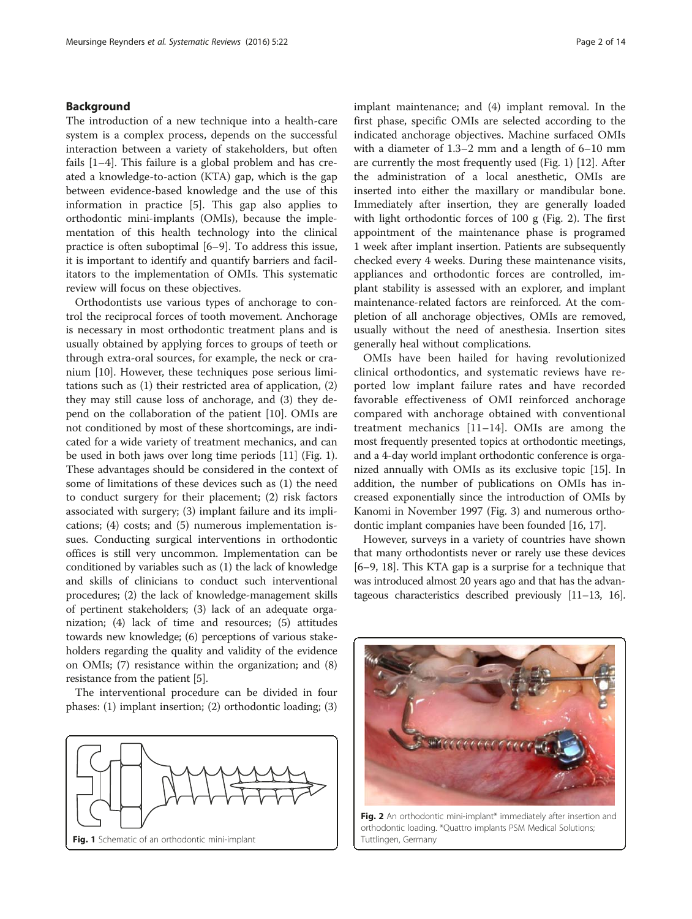#### <span id="page-2-0"></span>Background

The introduction of a new technique into a health-care system is a complex process, depends on the successful interaction between a variety of stakeholders, but often fails [[1](#page-12-0)–[4](#page-12-0)]. This failure is a global problem and has created a knowledge-to-action (KTA) gap, which is the gap between evidence-based knowledge and the use of this information in practice [\[5](#page-13-0)]. This gap also applies to orthodontic mini-implants (OMIs), because the implementation of this health technology into the clinical practice is often suboptimal [[6](#page-13-0)–[9](#page-13-0)]. To address this issue, it is important to identify and quantify barriers and facilitators to the implementation of OMIs. This systematic review will focus on these objectives.

Orthodontists use various types of anchorage to control the reciprocal forces of tooth movement. Anchorage is necessary in most orthodontic treatment plans and is usually obtained by applying forces to groups of teeth or through extra-oral sources, for example, the neck or cranium [[10\]](#page-13-0). However, these techniques pose serious limitations such as (1) their restricted area of application, (2) they may still cause loss of anchorage, and (3) they depend on the collaboration of the patient [[10\]](#page-13-0). OMIs are not conditioned by most of these shortcomings, are indicated for a wide variety of treatment mechanics, and can be used in both jaws over long time periods [[11](#page-13-0)] (Fig. 1). These advantages should be considered in the context of some of limitations of these devices such as (1) the need to conduct surgery for their placement; (2) risk factors associated with surgery; (3) implant failure and its implications; (4) costs; and (5) numerous implementation issues. Conducting surgical interventions in orthodontic offices is still very uncommon. Implementation can be conditioned by variables such as (1) the lack of knowledge and skills of clinicians to conduct such interventional procedures; (2) the lack of knowledge-management skills of pertinent stakeholders; (3) lack of an adequate organization; (4) lack of time and resources; (5) attitudes towards new knowledge; (6) perceptions of various stakeholders regarding the quality and validity of the evidence on OMIs; (7) resistance within the organization; and (8) resistance from the patient [\[5](#page-13-0)].

The interventional procedure can be divided in four phases: (1) implant insertion; (2) orthodontic loading; (3)



implant maintenance; and (4) implant removal. In the first phase, specific OMIs are selected according to the indicated anchorage objectives. Machine surfaced OMIs with a diameter of 1.3–2 mm and a length of 6–10 mm are currently the most frequently used (Fig. 1) [[12](#page-13-0)]. After the administration of a local anesthetic, OMIs are inserted into either the maxillary or mandibular bone. Immediately after insertion, they are generally loaded with light orthodontic forces of 100 g (Fig. 2). The first appointment of the maintenance phase is programed 1 week after implant insertion. Patients are subsequently checked every 4 weeks. During these maintenance visits, appliances and orthodontic forces are controlled, implant stability is assessed with an explorer, and implant maintenance-related factors are reinforced. At the completion of all anchorage objectives, OMIs are removed, usually without the need of anesthesia. Insertion sites generally heal without complications.

OMIs have been hailed for having revolutionized clinical orthodontics, and systematic reviews have reported low implant failure rates and have recorded favorable effectiveness of OMI reinforced anchorage compared with anchorage obtained with conventional treatment mechanics [[11](#page-13-0)–[14](#page-13-0)]. OMIs are among the most frequently presented topics at orthodontic meetings, and a 4-day world implant orthodontic conference is organized annually with OMIs as its exclusive topic [\[15\]](#page-13-0). In addition, the number of publications on OMIs has increased exponentially since the introduction of OMIs by Kanomi in November 1997 (Fig. [3\)](#page-3-0) and numerous orthodontic implant companies have been founded [[16](#page-13-0), [17\]](#page-13-0).

However, surveys in a variety of countries have shown that many orthodontists never or rarely use these devices [[6](#page-13-0)–[9](#page-13-0), [18](#page-13-0)]. This KTA gap is a surprise for a technique that was introduced almost 20 years ago and that has the advantageous characteristics described previously [[11](#page-13-0)–[13](#page-13-0), [16](#page-13-0)].



Fig. 2 An orthodontic mini-implant\* immediately after insertion and orthodontic loading. \*Quattro implants PSM Medical Solutions; Tuttlingen, Germany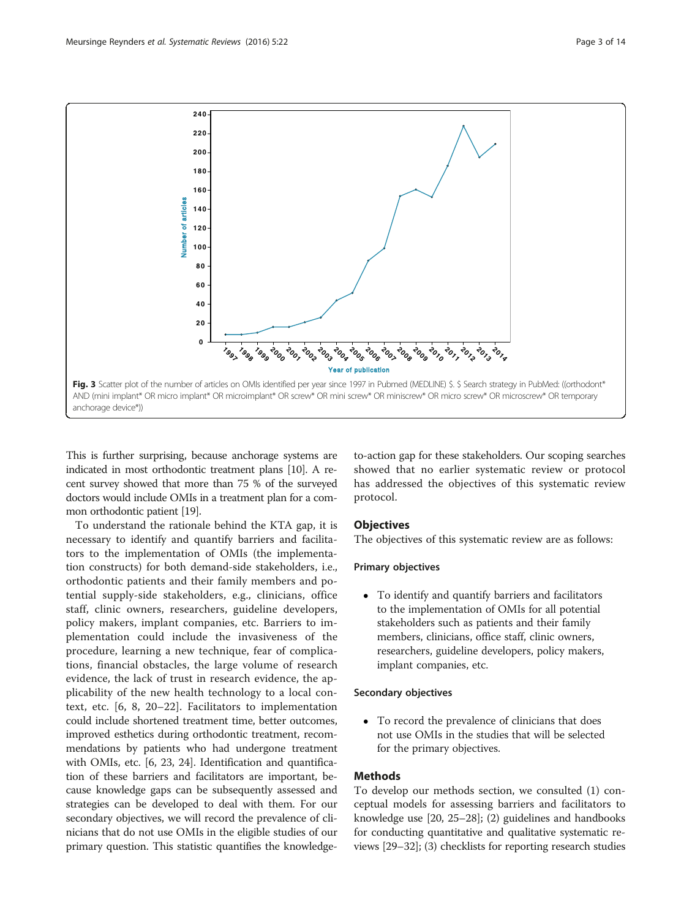<span id="page-3-0"></span>

This is further surprising, because anchorage systems are indicated in most orthodontic treatment plans [\[10\]](#page-13-0). A recent survey showed that more than 75 % of the surveyed doctors would include OMIs in a treatment plan for a common orthodontic patient [\[19](#page-13-0)].

To understand the rationale behind the KTA gap, it is necessary to identify and quantify barriers and facilitators to the implementation of OMIs (the implementation constructs) for both demand-side stakeholders, i.e., orthodontic patients and their family members and potential supply-side stakeholders, e.g., clinicians, office staff, clinic owners, researchers, guideline developers, policy makers, implant companies, etc. Barriers to implementation could include the invasiveness of the procedure, learning a new technique, fear of complications, financial obstacles, the large volume of research evidence, the lack of trust in research evidence, the applicability of the new health technology to a local context, etc. [[6, 8](#page-13-0), [20](#page-13-0)–[22](#page-13-0)]. Facilitators to implementation could include shortened treatment time, better outcomes, improved esthetics during orthodontic treatment, recommendations by patients who had undergone treatment with OMIs, etc. [[6, 23](#page-13-0), [24](#page-13-0)]. Identification and quantification of these barriers and facilitators are important, because knowledge gaps can be subsequently assessed and strategies can be developed to deal with them. For our secondary objectives, we will record the prevalence of clinicians that do not use OMIs in the eligible studies of our primary question. This statistic quantifies the knowledgeto-action gap for these stakeholders. Our scoping searches showed that no earlier systematic review or protocol has addressed the objectives of this systematic review protocol.

#### **Objectives**

The objectives of this systematic review are as follows:

#### Primary objectives

 To identify and quantify barriers and facilitators to the implementation of OMIs for all potential stakeholders such as patients and their family members, clinicians, office staff, clinic owners, researchers, guideline developers, policy makers, implant companies, etc.

#### Secondary objectives

 To record the prevalence of clinicians that does not use OMIs in the studies that will be selected for the primary objectives.

#### Methods

To develop our methods section, we consulted (1) conceptual models for assessing barriers and facilitators to knowledge use [\[20](#page-13-0), [25](#page-13-0)–[28\]](#page-13-0); (2) guidelines and handbooks for conducting quantitative and qualitative systematic reviews [\[29](#page-13-0)–[32](#page-13-0)]; (3) checklists for reporting research studies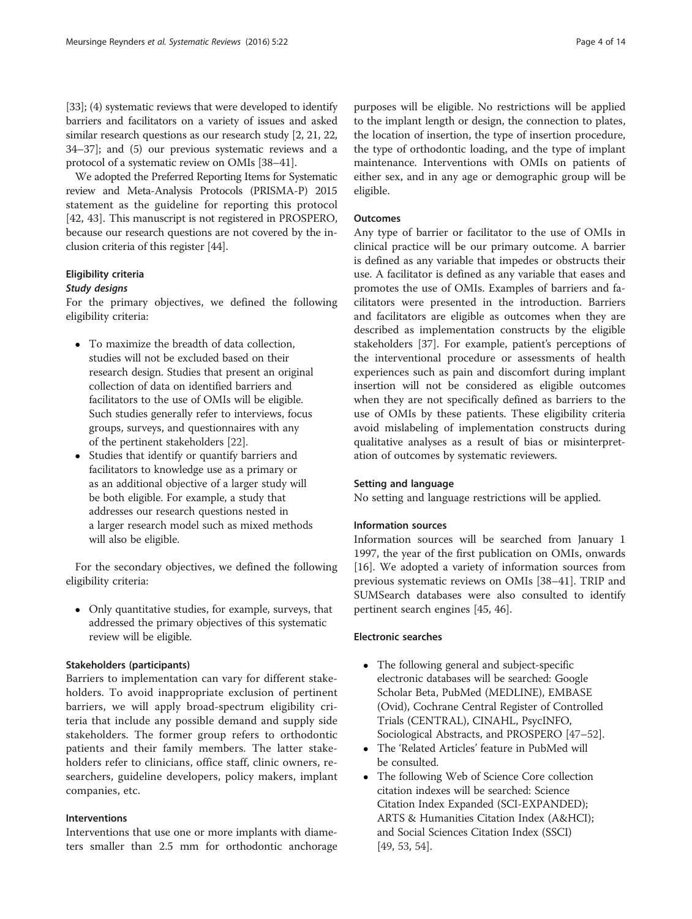[[33](#page-13-0)]; (4) systematic reviews that were developed to identify barriers and facilitators on a variety of issues and asked similar research questions as our research study [[2](#page-12-0), [21, 22](#page-13-0), [34](#page-13-0)–[37\]](#page-13-0); and (5) our previous systematic reviews and a protocol of a systematic review on OMIs [\[38](#page-13-0)–[41](#page-13-0)].

We adopted the Preferred Reporting Items for Systematic review and Meta-Analysis Protocols (PRISMA-P) 2015 statement as the guideline for reporting this protocol [[42, 43](#page-13-0)]. This manuscript is not registered in PROSPERO, because our research questions are not covered by the inclusion criteria of this register [[44](#page-13-0)].

#### Eligibility criteria

#### Study designs

For the primary objectives, we defined the following eligibility criteria:

- To maximize the breadth of data collection, studies will not be excluded based on their research design. Studies that present an original collection of data on identified barriers and facilitators to the use of OMIs will be eligible. Such studies generally refer to interviews, focus groups, surveys, and questionnaires with any of the pertinent stakeholders [[22](#page-13-0)].
- Studies that identify or quantify barriers and facilitators to knowledge use as a primary or as an additional objective of a larger study will be both eligible. For example, a study that addresses our research questions nested in a larger research model such as mixed methods will also be eligible.

For the secondary objectives, we defined the following eligibility criteria:

 Only quantitative studies, for example, surveys, that addressed the primary objectives of this systematic review will be eligible.

#### Stakeholders (participants)

Barriers to implementation can vary for different stakeholders. To avoid inappropriate exclusion of pertinent barriers, we will apply broad-spectrum eligibility criteria that include any possible demand and supply side stakeholders. The former group refers to orthodontic patients and their family members. The latter stakeholders refer to clinicians, office staff, clinic owners, researchers, guideline developers, policy makers, implant companies, etc.

#### Interventions

Interventions that use one or more implants with diameters smaller than 2.5 mm for orthodontic anchorage

purposes will be eligible. No restrictions will be applied to the implant length or design, the connection to plates, the location of insertion, the type of insertion procedure, the type of orthodontic loading, and the type of implant maintenance. Interventions with OMIs on patients of either sex, and in any age or demographic group will be eligible.

#### **Outcomes**

Any type of barrier or facilitator to the use of OMIs in clinical practice will be our primary outcome. A barrier is defined as any variable that impedes or obstructs their use. A facilitator is defined as any variable that eases and promotes the use of OMIs. Examples of barriers and facilitators were presented in the introduction. Barriers and facilitators are eligible as outcomes when they are described as implementation constructs by the eligible stakeholders [[37\]](#page-13-0). For example, patient's perceptions of the interventional procedure or assessments of health experiences such as pain and discomfort during implant insertion will not be considered as eligible outcomes when they are not specifically defined as barriers to the use of OMIs by these patients. These eligibility criteria avoid mislabeling of implementation constructs during qualitative analyses as a result of bias or misinterpretation of outcomes by systematic reviewers.

#### Setting and language

No setting and language restrictions will be applied.

# Information sources

Information sources will be searched from January 1 1997, the year of the first publication on OMIs, onwards [[16\]](#page-13-0). We adopted a variety of information sources from previous systematic reviews on OMIs [\[38](#page-13-0)–[41\]](#page-13-0). TRIP and SUMSearch databases were also consulted to identify pertinent search engines [[45, 46\]](#page-13-0).

#### Electronic searches

- The following general and subject-specific electronic databases will be searched: Google Scholar Beta, PubMed (MEDLINE), EMBASE (Ovid), Cochrane Central Register of Controlled Trials (CENTRAL), CINAHL, PsycINFO, Sociological Abstracts, and PROSPERO [\[47](#page-13-0)–[52](#page-14-0)].
- The 'Related Articles' feature in PubMed will be consulted.
- The following Web of Science Core collection citation indexes will be searched: Science Citation Index Expanded (SCI-EXPANDED); ARTS & Humanities Citation Index (A&HCI); and Social Sciences Citation Index (SSCI) [[49](#page-13-0), [53](#page-14-0), [54\]](#page-14-0).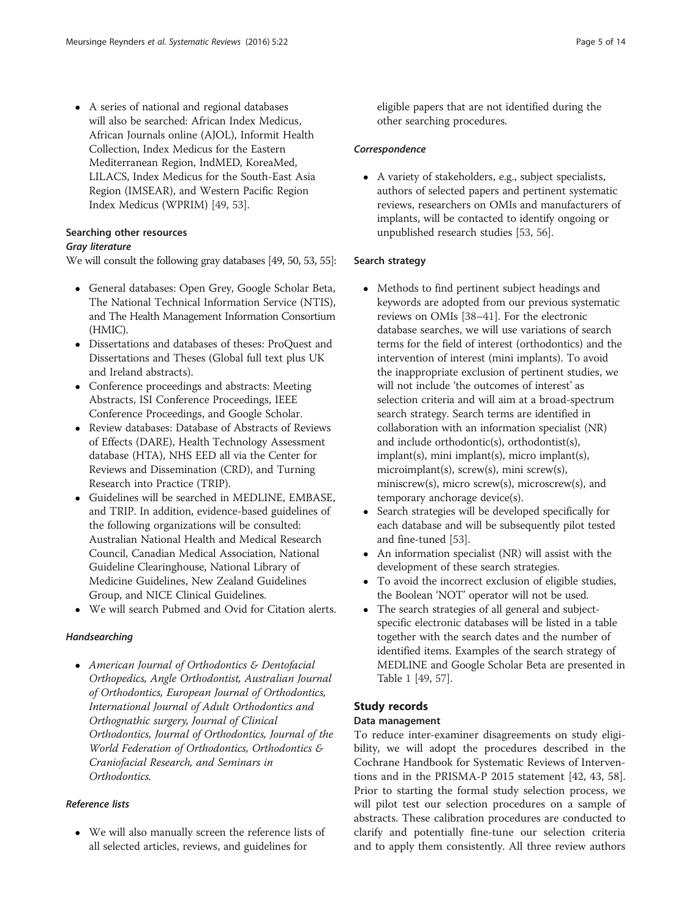A series of national and regional databases will also be searched: African Index Medicus, African Journals online (AJOL), Informit Health Collection, Index Medicus for the Eastern Mediterranean Region, IndMED, KoreaMed, LILACS, Index Medicus for the South-East Asia Region (IMSEAR), and Western Pacific Region Index Medicus (WPRIM) [\[49,](#page-13-0) [53\]](#page-14-0).

# Searching other resources

# Gray literature

We will consult the following gray databases [[49](#page-13-0), [50,](#page-13-0) [53, 55\]](#page-14-0):

- General databases: Open Grey, Google Scholar Beta, The National Technical Information Service (NTIS), and The Health Management Information Consortium (HMIC).
- Dissertations and databases of theses: ProQuest and Dissertations and Theses (Global full text plus UK and Ireland abstracts).
- Conference proceedings and abstracts: Meeting Abstracts, ISI Conference Proceedings, IEEE Conference Proceedings, and Google Scholar.
- Review databases: Database of Abstracts of Reviews of Effects (DARE), Health Technology Assessment database (HTA), NHS EED all via the Center for Reviews and Dissemination (CRD), and Turning Research into Practice (TRIP).
- Guidelines will be searched in MEDLINE, EMBASE, and TRIP. In addition, evidence-based guidelines of the following organizations will be consulted: Australian National Health and Medical Research Council, Canadian Medical Association, National Guideline Clearinghouse, National Library of Medicine Guidelines, New Zealand Guidelines Group, and NICE Clinical Guidelines.
- We will search Pubmed and Ovid for Citation alerts.

# Handsearching

 American Journal of Orthodontics & Dentofacial Orthopedics, Angle Orthodontist, Australian Journal of Orthodontics, European Journal of Orthodontics, International Journal of Adult Orthodontics and Orthognathic surgery, Journal of Clinical Orthodontics, Journal of Orthodontics, Journal of the World Federation of Orthodontics, Orthodontics & Craniofacial Research, and Seminars in **Orthodontics** 

# Reference lists

 We will also manually screen the reference lists of all selected articles, reviews, and guidelines for

eligible papers that are not identified during the other searching procedures.

# **Correspondence**

 A variety of stakeholders, e.g., subject specialists, authors of selected papers and pertinent systematic reviews, researchers on OMIs and manufacturers of implants, will be contacted to identify ongoing or unpublished research studies [\[53,](#page-14-0) [56](#page-14-0)].

# Search strategy

- Methods to find pertinent subject headings and keywords are adopted from our previous systematic reviews on OMIs [\[38](#page-13-0)–[41\]](#page-13-0). For the electronic database searches, we will use variations of search terms for the field of interest (orthodontics) and the intervention of interest (mini implants). To avoid the inappropriate exclusion of pertinent studies, we will not include 'the outcomes of interest' as selection criteria and will aim at a broad-spectrum search strategy. Search terms are identified in collaboration with an information specialist (NR) and include orthodontic(s), orthodontist(s), implant(s), mini implant(s), micro implant(s), microimplant(s), screw(s), mini screw(s), miniscrew(s), micro screw(s), microscrew(s), and temporary anchorage device(s).
- Search strategies will be developed specifically for each database and will be subsequently pilot tested and fine-tuned [[53\]](#page-14-0).
- An information specialist (NR) will assist with the development of these search strategies.
- To avoid the incorrect exclusion of eligible studies, the Boolean 'NOT' operator will not be used.
- The search strategies of all general and subjectspecific electronic databases will be listed in a table together with the search dates and the number of identified items. Examples of the search strategy of MEDLINE and Google Scholar Beta are presented in Table [1](#page-6-0) [\[49,](#page-13-0) [57](#page-14-0)].

# Study records

#### Data management

To reduce inter-examiner disagreements on study eligibility, we will adopt the procedures described in the Cochrane Handbook for Systematic Reviews of Interventions and in the PRISMA-P 2015 statement [[42](#page-13-0), [43,](#page-13-0) [58](#page-14-0)]. Prior to starting the formal study selection process, we will pilot test our selection procedures on a sample of abstracts. These calibration procedures are conducted to clarify and potentially fine-tune our selection criteria and to apply them consistently. All three review authors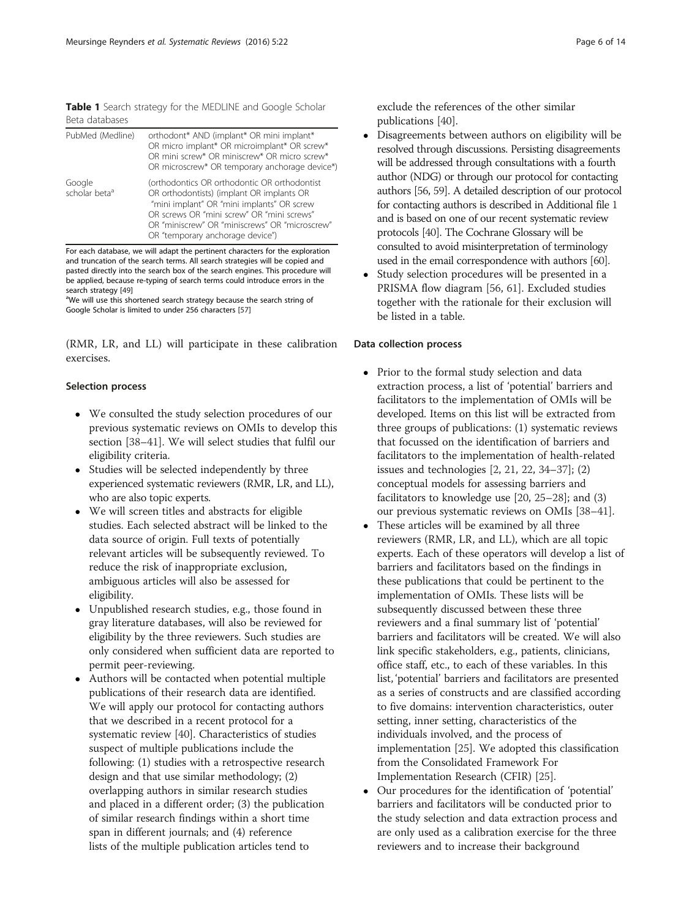<span id="page-6-0"></span>Table 1 Search strategy for the MEDLINE and Google Scholar Beta databases

| PubMed (Medline)                    | orthodont* AND (implant* OR mini implant*<br>OR micro implant* OR microimplant* OR screw*<br>OR mini screw* OR miniscrew* OR micro screw*<br>OR microscrew* OR temporary anchorage device*)                                                                                 |  |
|-------------------------------------|-----------------------------------------------------------------------------------------------------------------------------------------------------------------------------------------------------------------------------------------------------------------------------|--|
| Google<br>scholar beta <sup>a</sup> | (orthodontics OR orthodontic OR orthodontist<br>OR orthodontists) (implant OR implants OR<br>"mini implant" OR "mini implants" OR screw<br>OR screws OR "mini screw" OR "mini screws"<br>OR "miniscrew" OR "miniscrews" OR "microscrew"<br>OR "temporary anchorage device") |  |

For each database, we will adapt the pertinent characters for the exploration and truncation of the search terms. All search strategies will be copied and pasted directly into the search box of the search engines. This procedure will be applied, because re-typing of search terms could introduce errors in the search strategy [\[49\]](#page-13-0)

<sup>a</sup>We will use this shortened search strategy because the search string of Google Scholar is limited to under 256 characters [[57](#page-14-0)]

(RMR, LR, and LL) will participate in these calibration exercises.

#### Selection process

- We consulted the study selection procedures of our previous systematic reviews on OMIs to develop this section [\[38](#page-13-0)–[41](#page-13-0)]. We will select studies that fulfil our eligibility criteria.
- Studies will be selected independently by three experienced systematic reviewers (RMR, LR, and LL), who are also topic experts.
- We will screen titles and abstracts for eligible studies. Each selected abstract will be linked to the data source of origin. Full texts of potentially relevant articles will be subsequently reviewed. To reduce the risk of inappropriate exclusion, ambiguous articles will also be assessed for eligibility.
- Unpublished research studies, e.g., those found in gray literature databases, will also be reviewed for eligibility by the three reviewers. Such studies are only considered when sufficient data are reported to permit peer-reviewing.
- Authors will be contacted when potential multiple publications of their research data are identified. We will apply our protocol for contacting authors that we described in a recent protocol for a systematic review [[40](#page-13-0)]. Characteristics of studies suspect of multiple publications include the following: (1) studies with a retrospective research design and that use similar methodology; (2) overlapping authors in similar research studies and placed in a different order; (3) the publication of similar research findings within a short time span in different journals; and (4) reference lists of the multiple publication articles tend to

exclude the references of the other similar publications [\[40](#page-13-0)].

- Disagreements between authors on eligibility will be resolved through discussions. Persisting disagreements will be addressed through consultations with a fourth author (NDG) or through our protocol for contacting authors [\[56,](#page-14-0) [59](#page-14-0)]. A detailed description of our protocol for contacting authors is described in Additional file [1](#page-12-0) and is based on one of our recent systematic review protocols [\[40](#page-13-0)]. The Cochrane Glossary will be consulted to avoid misinterpretation of terminology used in the email correspondence with authors [\[60](#page-14-0)].
- Study selection procedures will be presented in a PRISMA flow diagram [[56](#page-14-0), [61\]](#page-14-0). Excluded studies together with the rationale for their exclusion will be listed in a table.

# Data collection process

- Prior to the formal study selection and data extraction process, a list of 'potential' barriers and facilitators to the implementation of OMIs will be developed. Items on this list will be extracted from three groups of publications: (1) systematic reviews that focussed on the identification of barriers and facilitators to the implementation of health-related issues and technologies [[2](#page-12-0), [21](#page-13-0), [22,](#page-13-0) [34](#page-13-0)–[37\]](#page-13-0); (2) conceptual models for assessing barriers and facilitators to knowledge use [\[20](#page-13-0), [25](#page-13-0)–[28](#page-13-0)]; and (3) our previous systematic reviews on OMIs [[38](#page-13-0)–[41\]](#page-13-0).
- These articles will be examined by all three reviewers (RMR, LR, and LL), which are all topic experts. Each of these operators will develop a list of barriers and facilitators based on the findings in these publications that could be pertinent to the implementation of OMIs. These lists will be subsequently discussed between these three reviewers and a final summary list of 'potential' barriers and facilitators will be created. We will also link specific stakeholders, e.g., patients, clinicians, office staff, etc., to each of these variables. In this list, 'potential' barriers and facilitators are presented as a series of constructs and are classified according to five domains: intervention characteristics, outer setting, inner setting, characteristics of the individuals involved, and the process of implementation [\[25\]](#page-13-0). We adopted this classification from the Consolidated Framework For Implementation Research (CFIR) [[25\]](#page-13-0).
- Our procedures for the identification of 'potential' barriers and facilitators will be conducted prior to the study selection and data extraction process and are only used as a calibration exercise for the three reviewers and to increase their background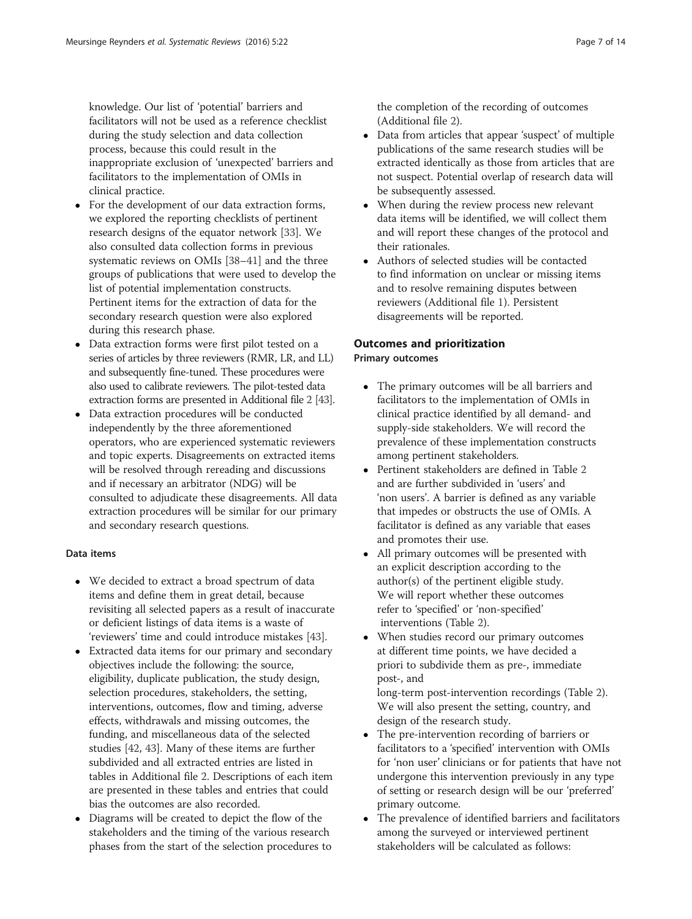knowledge. Our list of 'potential' barriers and facilitators will not be used as a reference checklist during the study selection and data collection process, because this could result in the inappropriate exclusion of 'unexpected' barriers and facilitators to the implementation of OMIs in clinical practice.

- For the development of our data extraction forms, we explored the reporting checklists of pertinent research designs of the equator network [[33](#page-13-0)]. We also consulted data collection forms in previous systematic reviews on OMIs [[38](#page-13-0)–[41](#page-13-0)] and the three groups of publications that were used to develop the list of potential implementation constructs. Pertinent items for the extraction of data for the secondary research question were also explored during this research phase.
- Data extraction forms were first pilot tested on a series of articles by three reviewers (RMR, LR, and LL) and subsequently fine-tuned. These procedures were also used to calibrate reviewers. The pilot-tested data extraction forms are presented in Additional file [2](#page-12-0) [\[43](#page-13-0)].
- Data extraction procedures will be conducted independently by the three aforementioned operators, who are experienced systematic reviewers and topic experts. Disagreements on extracted items will be resolved through rereading and discussions and if necessary an arbitrator (NDG) will be consulted to adjudicate these disagreements. All data extraction procedures will be similar for our primary and secondary research questions.

# Data items

- We decided to extract a broad spectrum of data items and define them in great detail, because revisiting all selected papers as a result of inaccurate or deficient listings of data items is a waste of 'reviewers' time and could introduce mistakes [[43\]](#page-13-0).
- Extracted data items for our primary and secondary objectives include the following: the source, eligibility, duplicate publication, the study design, selection procedures, stakeholders, the setting, interventions, outcomes, flow and timing, adverse effects, withdrawals and missing outcomes, the funding, and miscellaneous data of the selected studies [\[42](#page-13-0), [43\]](#page-13-0). Many of these items are further subdivided and all extracted entries are listed in tables in Additional file [2](#page-12-0). Descriptions of each item are presented in these tables and entries that could bias the outcomes are also recorded.
- Diagrams will be created to depict the flow of the stakeholders and the timing of the various research phases from the start of the selection procedures to

the completion of the recording of outcomes (Additional file [2\)](#page-12-0).

- Data from articles that appear 'suspect' of multiple publications of the same research studies will be extracted identically as those from articles that are not suspect. Potential overlap of research data will be subsequently assessed.
- When during the review process new relevant data items will be identified, we will collect them and will report these changes of the protocol and their rationales.
- Authors of selected studies will be contacted to find information on unclear or missing items and to resolve remaining disputes between reviewers (Additional file [1\)](#page-12-0). Persistent disagreements will be reported.

# Outcomes and prioritization Primary outcomes

- The primary outcomes will be all barriers and facilitators to the implementation of OMIs in clinical practice identified by all demand- and supply-side stakeholders. We will record the prevalence of these implementation constructs among pertinent stakeholders.
- Pertinent stakeholders are defined in Table [2](#page-8-0) and are further subdivided in 'users' and 'non users'. A barrier is defined as any variable that impedes or obstructs the use of OMIs. A facilitator is defined as any variable that eases and promotes their use.
- All primary outcomes will be presented with an explicit description according to the author(s) of the pertinent eligible study. We will report whether these outcomes refer to 'specified' or 'non-specified' interventions (Table [2](#page-8-0)).
- When studies record our primary outcomes at different time points, we have decided a priori to subdivide them as pre-, immediate post-, and

long-term post-intervention recordings (Table [2](#page-8-0)). We will also present the setting, country, and design of the research study.

- The pre-intervention recording of barriers or facilitators to a 'specified' intervention with OMIs for 'non user' clinicians or for patients that have not undergone this intervention previously in any type of setting or research design will be our 'preferred' primary outcome.
- The prevalence of identified barriers and facilitators among the surveyed or interviewed pertinent stakeholders will be calculated as follows: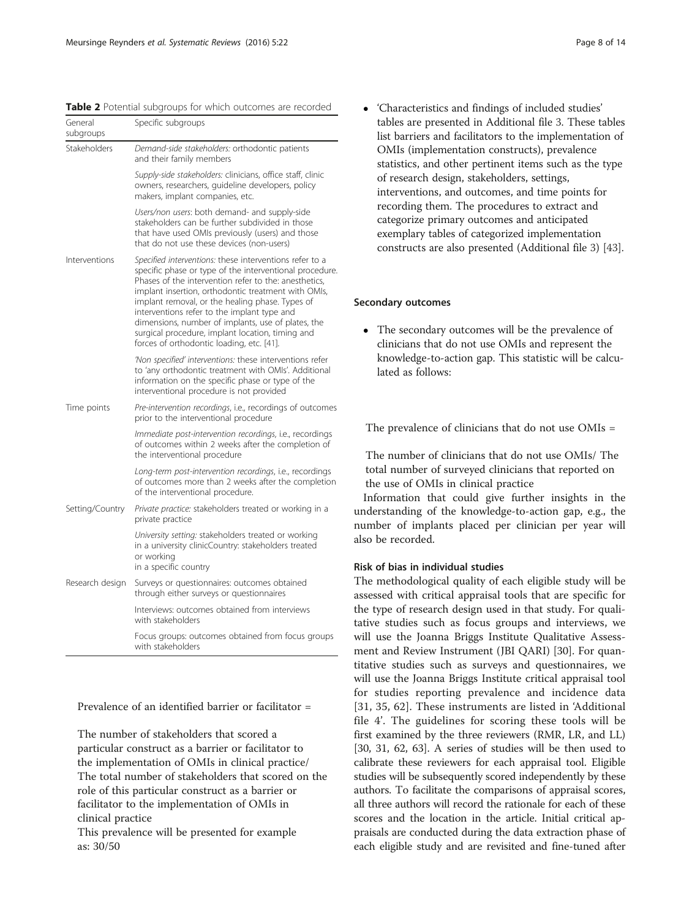<span id="page-8-0"></span>

|  | Table 2 Potential subgroups for which outcomes are recorded |
|--|-------------------------------------------------------------|
|--|-------------------------------------------------------------|

| General<br>subgroups | Specific subgroups                                                                                                                                                                                                                                                                                                                                                                                                                                                                          |
|----------------------|---------------------------------------------------------------------------------------------------------------------------------------------------------------------------------------------------------------------------------------------------------------------------------------------------------------------------------------------------------------------------------------------------------------------------------------------------------------------------------------------|
| Stakeholders         | Demand-side stakeholders: orthodontic patients<br>and their family members                                                                                                                                                                                                                                                                                                                                                                                                                  |
|                      | Supply-side stakeholders: clinicians, office staff, clinic<br>owners, researchers, quideline developers, policy<br>makers, implant companies, etc.                                                                                                                                                                                                                                                                                                                                          |
|                      | Users/non users: both demand- and supply-side<br>stakeholders can be further subdivided in those<br>that have used OMIs previously (users) and those<br>that do not use these devices (non-users)                                                                                                                                                                                                                                                                                           |
| Interventions        | Specified interventions: these interventions refer to a<br>specific phase or type of the interventional procedure.<br>Phases of the intervention refer to the: anesthetics,<br>implant insertion, orthodontic treatment with OMIs,<br>implant removal, or the healing phase. Types of<br>interventions refer to the implant type and<br>dimensions, number of implants, use of plates, the<br>surgical procedure, implant location, timing and<br>forces of orthodontic loading, etc. [41]. |
|                      | 'Non specified' interventions: these interventions refer<br>to 'any orthodontic treatment with OMIs'. Additional<br>information on the specific phase or type of the<br>interventional procedure is not provided                                                                                                                                                                                                                                                                            |
| Time points          | Pre-intervention recordings, i.e., recordings of outcomes<br>prior to the interventional procedure                                                                                                                                                                                                                                                                                                                                                                                          |
|                      | Immediate post-intervention recordings, i.e., recordings<br>of outcomes within 2 weeks after the completion of<br>the interventional procedure                                                                                                                                                                                                                                                                                                                                              |
|                      | Long-term post-intervention recordings, i.e., recordings<br>of outcomes more than 2 weeks after the completion<br>of the interventional procedure.                                                                                                                                                                                                                                                                                                                                          |
| Setting/Country      | <i>Private practice:</i> stakeholders treated or working in a<br>private practice                                                                                                                                                                                                                                                                                                                                                                                                           |
|                      | University setting: stakeholders treated or working<br>in a university clinicCountry: stakeholders treated<br>or working<br>in a specific country                                                                                                                                                                                                                                                                                                                                           |
| Research design      | Surveys or questionnaires: outcomes obtained<br>through either surveys or questionnaires                                                                                                                                                                                                                                                                                                                                                                                                    |
|                      | Interviews: outcomes obtained from interviews<br>with stakeholders                                                                                                                                                                                                                                                                                                                                                                                                                          |
|                      | Focus groups: outcomes obtained from focus groups<br>with stakeholders                                                                                                                                                                                                                                                                                                                                                                                                                      |

Prevalence of an identified barrier or facilitator =

The number of stakeholders that scored a particular construct as a barrier or facilitator to the implementation of OMIs in clinical practice/ The total number of stakeholders that scored on the role of this particular construct as a barrier or facilitator to the implementation of OMIs in clinical practice

This prevalence will be presented for example as: 30/50

 'Characteristics and findings of included studies' tables are presented in Additional file [3](#page-12-0). These tables list barriers and facilitators to the implementation of OMIs (implementation constructs), prevalence statistics, and other pertinent items such as the type of research design, stakeholders, settings, interventions, and outcomes, and time points for recording them. The procedures to extract and categorize primary outcomes and anticipated exemplary tables of categorized implementation constructs are also presented (Additional file [3](#page-12-0)) [\[43\]](#page-13-0).

# Secondary outcomes

 The secondary outcomes will be the prevalence of clinicians that do not use OMIs and represent the knowledge-to-action gap. This statistic will be calculated as follows:

The prevalence of clinicians that do not use OMIs =

The number of clinicians that do not use OMIs/ The total number of surveyed clinicians that reported on the use of OMIs in clinical practice

Information that could give further insights in the understanding of the knowledge-to-action gap, e.g., the number of implants placed per clinician per year will also be recorded.

#### Risk of bias in individual studies

The methodological quality of each eligible study will be assessed with critical appraisal tools that are specific for the type of research design used in that study. For qualitative studies such as focus groups and interviews, we will use the Joanna Briggs Institute Qualitative Assessment and Review Instrument (JBI QARI) [[30](#page-13-0)]. For quantitative studies such as surveys and questionnaires, we will use the Joanna Briggs Institute critical appraisal tool for studies reporting prevalence and incidence data [[31](#page-13-0), [35,](#page-13-0) [62](#page-14-0)]. These instruments are listed in 'Additional file [4](#page-12-0)'. The guidelines for scoring these tools will be first examined by the three reviewers (RMR, LR, and LL) [[30](#page-13-0), [31](#page-13-0), [62, 63\]](#page-14-0). A series of studies will be then used to calibrate these reviewers for each appraisal tool. Eligible studies will be subsequently scored independently by these authors. To facilitate the comparisons of appraisal scores, all three authors will record the rationale for each of these scores and the location in the article. Initial critical appraisals are conducted during the data extraction phase of each eligible study and are revisited and fine-tuned after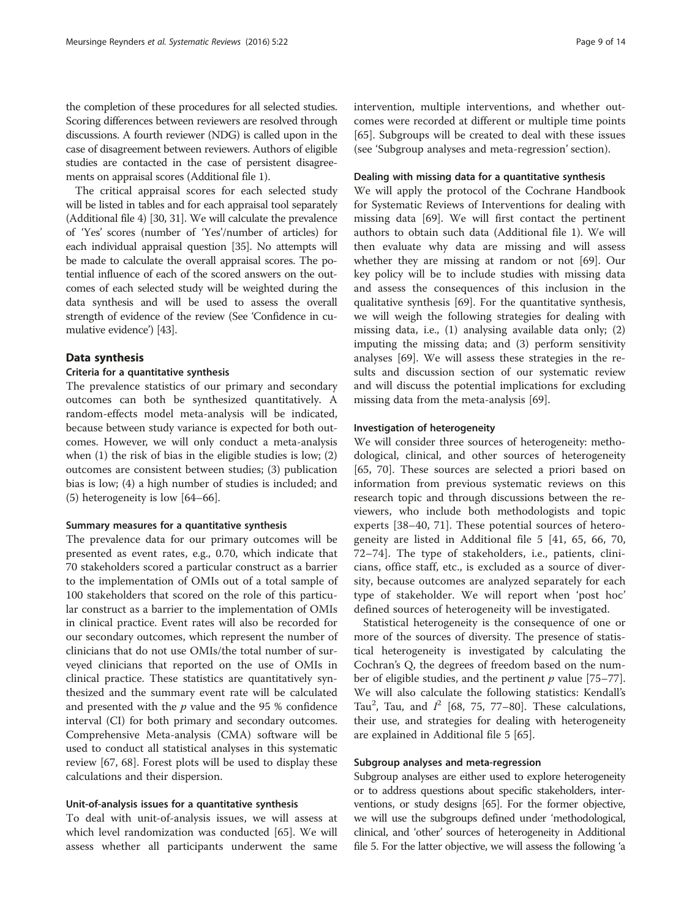<span id="page-9-0"></span>the completion of these procedures for all selected studies. Scoring differences between reviewers are resolved through discussions. A fourth reviewer (NDG) is called upon in the case of disagreement between reviewers. Authors of eligible studies are contacted in the case of persistent disagreements on appraisal scores (Additional file [1](#page-12-0)).

The critical appraisal scores for each selected study will be listed in tables and for each appraisal tool separately (Additional file [4](#page-12-0)) [\[30](#page-13-0), [31\]](#page-13-0). We will calculate the prevalence of 'Yes' scores (number of 'Yes'/number of articles) for each individual appraisal question [\[35\]](#page-13-0). No attempts will be made to calculate the overall appraisal scores. The potential influence of each of the scored answers on the outcomes of each selected study will be weighted during the data synthesis and will be used to assess the overall strength of evidence of the review (See 'Confidence in cumulative evidence') [\[43](#page-13-0)].

#### Data synthesis

#### Criteria for a quantitative synthesis

The prevalence statistics of our primary and secondary outcomes can both be synthesized quantitatively. A random-effects model meta-analysis will be indicated, because between study variance is expected for both outcomes. However, we will only conduct a meta-analysis when (1) the risk of bias in the eligible studies is low; (2) outcomes are consistent between studies; (3) publication bias is low; (4) a high number of studies is included; and (5) heterogeneity is low [[64](#page-14-0)–[66](#page-14-0)].

#### Summary measures for a quantitative synthesis

The prevalence data for our primary outcomes will be presented as event rates, e.g., 0.70, which indicate that 70 stakeholders scored a particular construct as a barrier to the implementation of OMIs out of a total sample of 100 stakeholders that scored on the role of this particular construct as a barrier to the implementation of OMIs in clinical practice. Event rates will also be recorded for our secondary outcomes, which represent the number of clinicians that do not use OMIs/the total number of surveyed clinicians that reported on the use of OMIs in clinical practice. These statistics are quantitatively synthesized and the summary event rate will be calculated and presented with the  $p$  value and the 95 % confidence interval (CI) for both primary and secondary outcomes. Comprehensive Meta-analysis (CMA) software will be used to conduct all statistical analyses in this systematic review [[67](#page-14-0), [68](#page-14-0)]. Forest plots will be used to display these calculations and their dispersion.

#### Unit-of-analysis issues for a quantitative synthesis

To deal with unit-of-analysis issues, we will assess at which level randomization was conducted [\[65\]](#page-14-0). We will assess whether all participants underwent the same intervention, multiple interventions, and whether outcomes were recorded at different or multiple time points [[65\]](#page-14-0). Subgroups will be created to deal with these issues (see 'Subgroup analyses and meta-regression' section).

#### Dealing with missing data for a quantitative synthesis

We will apply the protocol of the Cochrane Handbook for Systematic Reviews of Interventions for dealing with missing data [[69](#page-14-0)]. We will first contact the pertinent authors to obtain such data (Additional file [1\)](#page-12-0). We will then evaluate why data are missing and will assess whether they are missing at random or not [[69\]](#page-14-0). Our key policy will be to include studies with missing data and assess the consequences of this inclusion in the qualitative synthesis [\[69](#page-14-0)]. For the quantitative synthesis, we will weigh the following strategies for dealing with missing data, i.e., (1) analysing available data only; (2) imputing the missing data; and (3) perform sensitivity analyses [\[69](#page-14-0)]. We will assess these strategies in the results and discussion section of our systematic review and will discuss the potential implications for excluding missing data from the meta-analysis [\[69](#page-14-0)].

#### Investigation of heterogeneity

We will consider three sources of heterogeneity: methodological, clinical, and other sources of heterogeneity [[65, 70](#page-14-0)]. These sources are selected a priori based on information from previous systematic reviews on this research topic and through discussions between the reviewers, who include both methodologists and topic experts [[38](#page-13-0)–[40,](#page-13-0) [71\]](#page-14-0). These potential sources of heterogeneity are listed in Additional file [5](#page-12-0) [[41,](#page-13-0) [65, 66](#page-14-0), [70](#page-14-0), [72](#page-14-0)–[74\]](#page-14-0). The type of stakeholders, i.e., patients, clinicians, office staff, etc., is excluded as a source of diversity, because outcomes are analyzed separately for each type of stakeholder. We will report when 'post hoc' defined sources of heterogeneity will be investigated.

Statistical heterogeneity is the consequence of one or more of the sources of diversity. The presence of statistical heterogeneity is investigated by calculating the Cochran's Q, the degrees of freedom based on the number of eligible studies, and the pertinent  $p$  value [[75](#page-14-0)–[77](#page-14-0)]. We will also calculate the following statistics: Kendall's Tau<sup>2</sup>, Tau, and  $I^2$  [\[68](#page-14-0), [75](#page-14-0), [77](#page-14-0)-[80](#page-14-0)]. These calculations, their use, and strategies for dealing with heterogeneity are explained in Additional file [5](#page-12-0) [\[65](#page-14-0)].

#### Subgroup analyses and meta-regression

Subgroup analyses are either used to explore heterogeneity or to address questions about specific stakeholders, interventions, or study designs [\[65](#page-14-0)]. For the former objective, we will use the subgroups defined under 'methodological, clinical, and 'other' sources of heterogeneity in Additional file [5.](#page-12-0) For the latter objective, we will assess the following 'a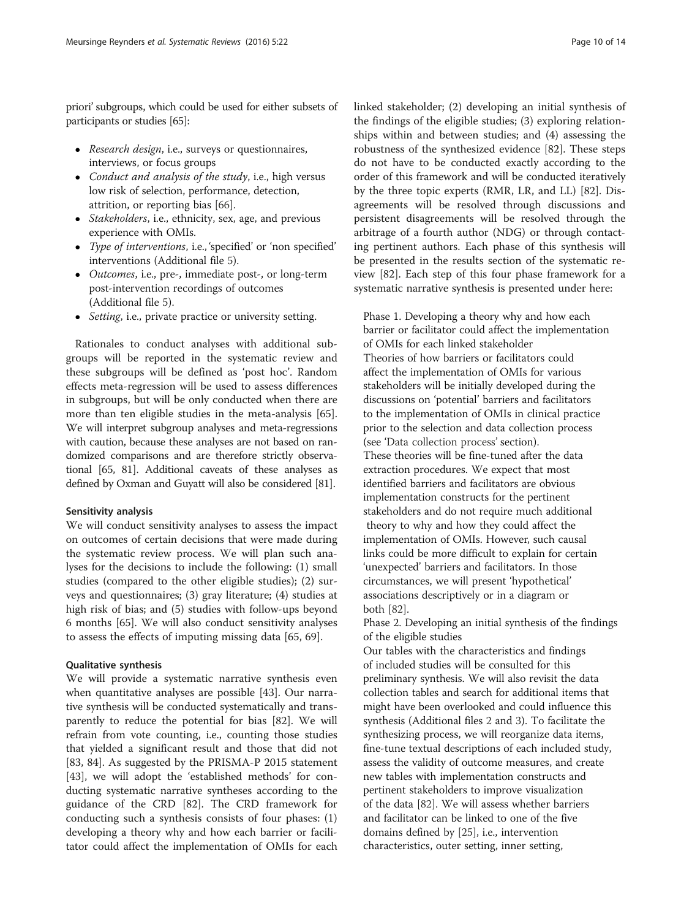<span id="page-10-0"></span>priori' subgroups, which could be used for either subsets of participants or studies [[65](#page-14-0)]:

- Research design, i.e., surveys or questionnaires, interviews, or focus groups
- Conduct and analysis of the study, i.e., high versus low risk of selection, performance, detection, attrition, or reporting bias [\[66\]](#page-14-0).
- Stakeholders, i.e., ethnicity, sex, age, and previous experience with OMIs.
- Type of interventions, i.e., 'specified' or 'non specified' interventions (Additional file [5\)](#page-12-0).
- Outcomes, i.e., pre-, immediate post-, or long-term post-intervention recordings of outcomes (Additional file [5\)](#page-12-0).
- Setting, i.e., private practice or university setting.

Rationales to conduct analyses with additional subgroups will be reported in the systematic review and these subgroups will be defined as 'post hoc'. Random effects meta-regression will be used to assess differences in subgroups, but will be only conducted when there are more than ten eligible studies in the meta-analysis [\[65](#page-14-0)]. We will interpret subgroup analyses and meta-regressions with caution, because these analyses are not based on randomized comparisons and are therefore strictly observational [[65](#page-14-0), [81](#page-14-0)]. Additional caveats of these analyses as defined by Oxman and Guyatt will also be considered [\[81\]](#page-14-0).

#### Sensitivity analysis

We will conduct sensitivity analyses to assess the impact on outcomes of certain decisions that were made during the systematic review process. We will plan such analyses for the decisions to include the following: (1) small studies (compared to the other eligible studies); (2) surveys and questionnaires; (3) gray literature; (4) studies at high risk of bias; and (5) studies with follow-ups beyond 6 months [[65\]](#page-14-0). We will also conduct sensitivity analyses to assess the effects of imputing missing data [[65, 69\]](#page-14-0).

# Qualitative synthesis

We will provide a systematic narrative synthesis even when quantitative analyses are possible [\[43](#page-13-0)]. Our narrative synthesis will be conducted systematically and transparently to reduce the potential for bias [\[82](#page-14-0)]. We will refrain from vote counting, i.e., counting those studies that yielded a significant result and those that did not [[83, 84\]](#page-14-0). As suggested by the PRISMA-P 2015 statement [[43\]](#page-13-0), we will adopt the 'established methods' for conducting systematic narrative syntheses according to the guidance of the CRD [\[82](#page-14-0)]. The CRD framework for conducting such a synthesis consists of four phases: (1) developing a theory why and how each barrier or facilitator could affect the implementation of OMIs for each linked stakeholder; (2) developing an initial synthesis of the findings of the eligible studies; (3) exploring relationships within and between studies; and (4) assessing the robustness of the synthesized evidence [[82\]](#page-14-0). These steps do not have to be conducted exactly according to the order of this framework and will be conducted iteratively by the three topic experts (RMR, LR, and LL) [[82\]](#page-14-0). Disagreements will be resolved through discussions and persistent disagreements will be resolved through the arbitrage of a fourth author (NDG) or through contacting pertinent authors. Each phase of this synthesis will be presented in the results section of the systematic review [[82\]](#page-14-0). Each step of this four phase framework for a systematic narrative synthesis is presented under here:

Phase 1. Developing a theory why and how each barrier or facilitator could affect the implementation of OMIs for each linked stakeholder Theories of how barriers or facilitators could affect the implementation of OMIs for various stakeholders will be initially developed during the discussions on 'potential' barriers and facilitators to the implementation of OMIs in clinical practice prior to the selection and data collection process (see '[Data collection process](#page-6-0)' section). These theories will be fine-tuned after the data extraction procedures. We expect that most identified barriers and facilitators are obvious implementation constructs for the pertinent stakeholders and do not require much additional theory to why and how they could affect the implementation of OMIs. However, such causal links could be more difficult to explain for certain 'unexpected' barriers and facilitators. In those circumstances, we will present 'hypothetical' associations descriptively or in a diagram or both [\[82\]](#page-14-0).

Phase 2. Developing an initial synthesis of the findings of the eligible studies

Our tables with the characteristics and findings of included studies will be consulted for this preliminary synthesis. We will also revisit the data collection tables and search for additional items that might have been overlooked and could influence this synthesis (Additional files [2](#page-12-0) and [3\)](#page-12-0). To facilitate the synthesizing process, we will reorganize data items, fine-tune textual descriptions of each included study, assess the validity of outcome measures, and create new tables with implementation constructs and pertinent stakeholders to improve visualization of the data [\[82\]](#page-14-0). We will assess whether barriers and facilitator can be linked to one of the five domains defined by [\[25](#page-13-0)], i.e., intervention characteristics, outer setting, inner setting,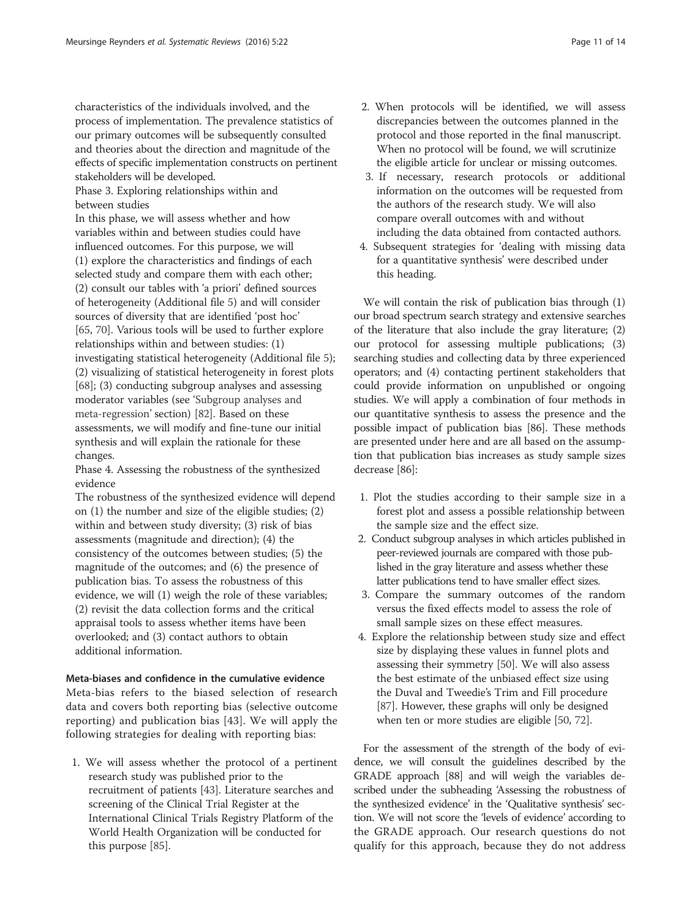characteristics of the individuals involved, and the process of implementation. The prevalence statistics of our primary outcomes will be subsequently consulted and theories about the direction and magnitude of the effects of specific implementation constructs on pertinent stakeholders will be developed.

Phase 3. Exploring relationships within and between studies

In this phase, we will assess whether and how variables within and between studies could have influenced outcomes. For this purpose, we will (1) explore the characteristics and findings of each selected study and compare them with each other; (2) consult our tables with 'a priori' defined sources of heterogeneity (Additional file [5\)](#page-12-0) and will consider sources of diversity that are identified 'post hoc' [[65](#page-14-0), [70](#page-14-0)]. Various tools will be used to further explore relationships within and between studies: (1) investigating statistical heterogeneity (Additional file [5](#page-12-0)); (2) visualizing of statistical heterogeneity in forest plots [[68](#page-14-0)]; (3) conducting subgroup analyses and assessing moderator variables (see '[Subgroup analyses and](#page-9-0) [meta-regression](#page-9-0)' section) [[82](#page-14-0)]. Based on these assessments, we will modify and fine-tune our initial synthesis and will explain the rationale for these changes.

Phase 4. Assessing the robustness of the synthesized evidence

The robustness of the synthesized evidence will depend on (1) the number and size of the eligible studies; (2) within and between study diversity; (3) risk of bias assessments (magnitude and direction); (4) the consistency of the outcomes between studies; (5) the magnitude of the outcomes; and (6) the presence of publication bias. To assess the robustness of this evidence, we will (1) weigh the role of these variables; (2) revisit the data collection forms and the critical appraisal tools to assess whether items have been overlooked; and (3) contact authors to obtain additional information.

# Meta-biases and confidence in the cumulative evidence

Meta-bias refers to the biased selection of research data and covers both reporting bias (selective outcome reporting) and publication bias [[43\]](#page-13-0). We will apply the following strategies for dealing with reporting bias:

1. We will assess whether the protocol of a pertinent research study was published prior to the recruitment of patients [[43](#page-13-0)]. Literature searches and screening of the Clinical Trial Register at the International Clinical Trials Registry Platform of the World Health Organization will be conducted for this purpose [\[85\]](#page-14-0).

- 2. When protocols will be identified, we will assess discrepancies between the outcomes planned in the protocol and those reported in the final manuscript. When no protocol will be found, we will scrutinize the eligible article for unclear or missing outcomes.
- 3. If necessary, research protocols or additional information on the outcomes will be requested from the authors of the research study. We will also compare overall outcomes with and without including the data obtained from contacted authors.
- 4. Subsequent strategies for 'dealing with missing data for a quantitative synthesis' were described under this heading.

We will contain the risk of publication bias through (1) our broad spectrum search strategy and extensive searches of the literature that also include the gray literature; (2) our protocol for assessing multiple publications; (3) searching studies and collecting data by three experienced operators; and (4) contacting pertinent stakeholders that could provide information on unpublished or ongoing studies. We will apply a combination of four methods in our quantitative synthesis to assess the presence and the possible impact of publication bias [[86](#page-14-0)]. These methods are presented under here and are all based on the assumption that publication bias increases as study sample sizes decrease [[86](#page-14-0)]:

- 1. Plot the studies according to their sample size in a forest plot and assess a possible relationship between the sample size and the effect size.
- 2. Conduct subgroup analyses in which articles published in peer-reviewed journals are compared with those published in the gray literature and assess whether these latter publications tend to have smaller effect sizes.
- 3. Compare the summary outcomes of the random versus the fixed effects model to assess the role of small sample sizes on these effect measures.
- 4. Explore the relationship between study size and effect size by displaying these values in funnel plots and assessing their symmetry [[50](#page-13-0)]. We will also assess the best estimate of the unbiased effect size using the Duval and Tweedie's Trim and Fill procedure [[87](#page-14-0)]. However, these graphs will only be designed when ten or more studies are eligible [\[50,](#page-13-0) [72\]](#page-14-0).

For the assessment of the strength of the body of evidence, we will consult the guidelines described by the GRADE approach [\[88\]](#page-14-0) and will weigh the variables described under the subheading 'Assessing the robustness of the synthesized evidence' in the '[Qualitative synthesis](#page-10-0)' section. We will not score the 'levels of evidence' according to the GRADE approach. Our research questions do not qualify for this approach, because they do not address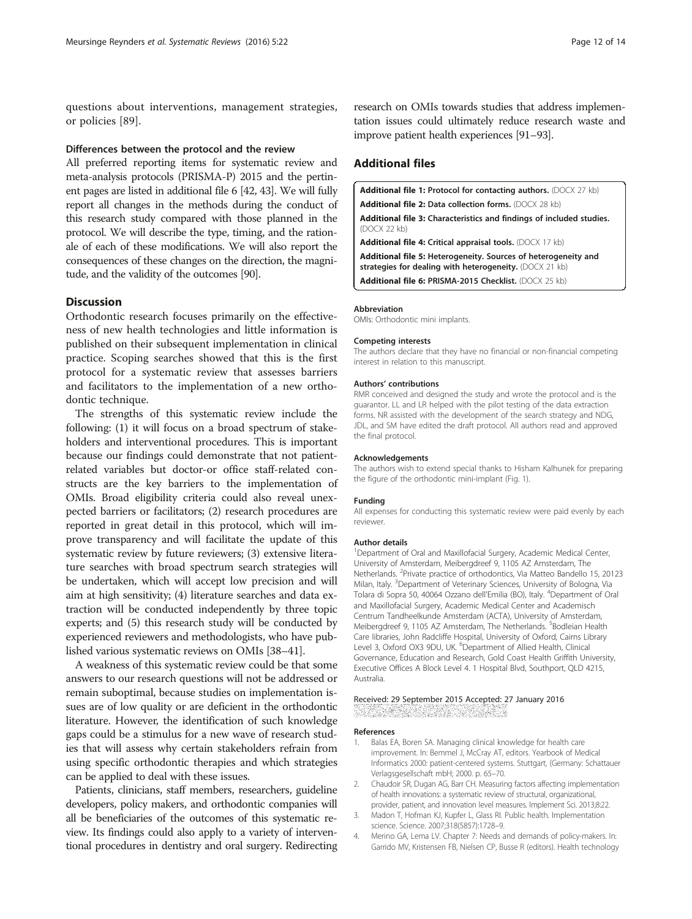<span id="page-12-0"></span>questions about interventions, management strategies, or policies [[89](#page-14-0)].

#### Differences between the protocol and the review

All preferred reporting items for systematic review and meta-analysis protocols (PRISMA-P) 2015 and the pertinent pages are listed in additional file 6 [[42](#page-13-0), [43](#page-13-0)]. We will fully report all changes in the methods during the conduct of this research study compared with those planned in the protocol. We will describe the type, timing, and the rationale of each of these modifications. We will also report the consequences of these changes on the direction, the magnitude, and the validity of the outcomes [\[90\]](#page-14-0).

# **Discussion**

Orthodontic research focuses primarily on the effectiveness of new health technologies and little information is published on their subsequent implementation in clinical practice. Scoping searches showed that this is the first protocol for a systematic review that assesses barriers and facilitators to the implementation of a new orthodontic technique.

The strengths of this systematic review include the following: (1) it will focus on a broad spectrum of stakeholders and interventional procedures. This is important because our findings could demonstrate that not patientrelated variables but doctor-or office staff-related constructs are the key barriers to the implementation of OMIs. Broad eligibility criteria could also reveal unexpected barriers or facilitators; (2) research procedures are reported in great detail in this protocol, which will improve transparency and will facilitate the update of this systematic review by future reviewers; (3) extensive literature searches with broad spectrum search strategies will be undertaken, which will accept low precision and will aim at high sensitivity; (4) literature searches and data extraction will be conducted independently by three topic experts; and (5) this research study will be conducted by experienced reviewers and methodologists, who have published various systematic reviews on OMIs [\[38](#page-13-0)–[41\]](#page-13-0).

A weakness of this systematic review could be that some answers to our research questions will not be addressed or remain suboptimal, because studies on implementation issues are of low quality or are deficient in the orthodontic literature. However, the identification of such knowledge gaps could be a stimulus for a new wave of research studies that will assess why certain stakeholders refrain from using specific orthodontic therapies and which strategies can be applied to deal with these issues.

Patients, clinicians, staff members, researchers, guideline developers, policy makers, and orthodontic companies will all be beneficiaries of the outcomes of this systematic review. Its findings could also apply to a variety of interventional procedures in dentistry and oral surgery. Redirecting research on OMIs towards studies that address implementation issues could ultimately reduce research waste and improve patient health experiences [\[91](#page-14-0)–[93\]](#page-14-0).

# Additional files

[Additional file 1:](dx.doi.org/10.1186/s13643-016-0198-4) Protocol for contacting authors. (DOCX 27 kb)

[Additional file 2:](dx.doi.org/10.1186/s13643-016-0198-4) Data collection forms. (DOCX 28 kb)

[Additional file 3:](dx.doi.org/10.1186/s13643-016-0198-4) Characteristics and findings of included studies. (DOCX 22 kb)

[Additional file 4:](dx.doi.org/10.1186/s13643-016-0198-4) Critical appraisal tools. (DOCX 17 kb) [Additional file 5:](dx.doi.org/10.1186/s13643-016-0198-4) Heterogeneity. Sources of heterogeneity and strategies for dealing with heterogeneity. (DOCX 21 kb)

[Additional file 6:](dx.doi.org/10.1186/s13643-016-0198-4) PRISMA-2015 Checklist. (DOCX 25 kb)

#### Abbreviation

OMIs: Orthodontic mini implants.

#### Competing interests

The authors declare that they have no financial or non-financial competing interest in relation to this manuscript.

#### Authors' contributions

RMR conceived and designed the study and wrote the protocol and is the guarantor. LL and LR helped with the pilot testing of the data extraction forms. NR assisted with the development of the search strategy and NDG, JDL, and SM have edited the draft protocol. All authors read and approved the final protocol.

#### Acknowledgements

The authors wish to extend special thanks to Hisham Kalhunek for preparing the figure of the orthodontic mini-implant (Fig. [1](#page-2-0)).

#### Funding

All expenses for conducting this systematic review were paid evenly by each reviewer.

#### Author details

<sup>1</sup>Department of Oral and Maxillofacial Surgery, Academic Medical Center, University of Amsterdam, Meibergdreef 9, 1105 AZ Amsterdam, The Netherlands. <sup>2</sup>Private practice of orthodontics, Via Matteo Bandello 15, 20123 Milan, Italy. <sup>3</sup>Department of Veterinary Sciences, University of Bologna, Via Tolara di Sopra 50, 40064 Ozzano dell'Emilia (BO), Italy. <sup>4</sup>Department of Oral and Maxillofacial Surgery, Academic Medical Center and Academisch Centrum Tandheelkunde Amsterdam (ACTA), University of Amsterdam, Meibergdreef 9, 1105 AZ Amsterdam, The Netherlands. <sup>5</sup>Bodleian Health Care libraries, John Radcliffe Hospital, University of Oxford, Cairns Library Level 3, Oxford OX3 9DU, UK. <sup>6</sup>Department of Allied Health, Clinical Governance, Education and Research, Gold Coast Health Griffith University, Executive Offices A Block Level 4. 1 Hospital Blvd, Southport, QLD 4215, Australia.

### Received: 29 September 2015 Accepted: 27 January 2016

#### References

- 1. Balas EA, Boren SA. Managing clinical knowledge for health care improvement. In: Bemmel J, McCray AT, editors. Yearbook of Medical Informatics 2000: patient-centered systems. Stuttgart, (Germany: Schattauer Verlagsgesellschaft mbH; 2000. p. 65–70.
- 2. Chaudoir SR, Dugan AG, Barr CH. Measuring factors affecting implementation of health innovations: a systematic review of structural, organizational, provider, patient, and innovation level measures. Implement Sci. 2013;8:22.
- 3. Madon T, Hofman KJ, Kupfer L, Glass RI. Public health. Implementation science. Science. 2007;318(5857):1728–9.
- 4. Merino GA, Lema LV. Chapter 7: Needs and demands of policy-makers. In: Garrido MV, Kristensen FB, Nielsen CP, Busse R (editors). Health technology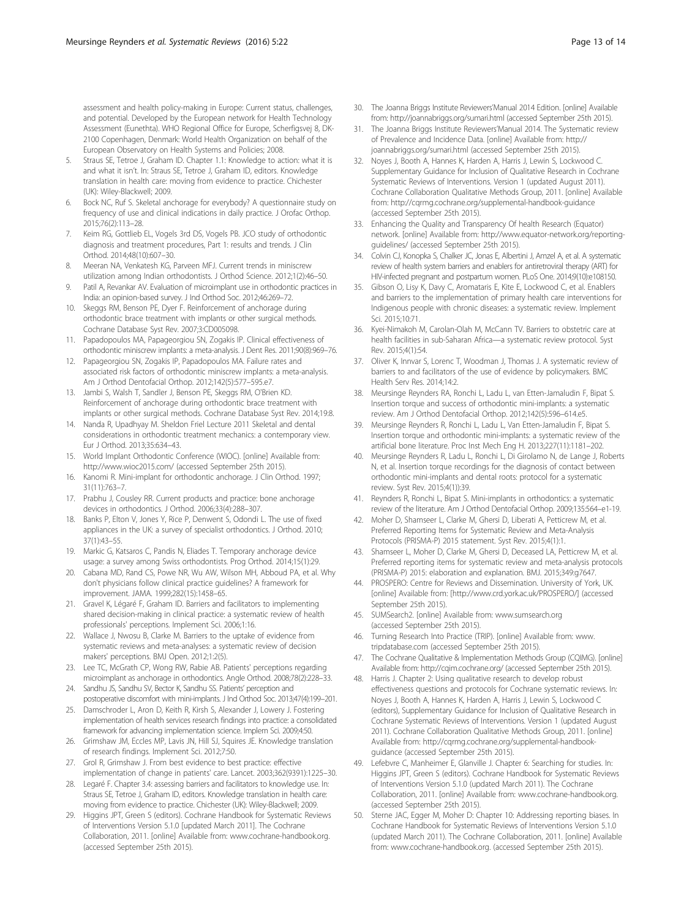<span id="page-13-0"></span>assessment and health policy-making in Europe: Current status, challenges, and potential. Developed by the European network for Health Technology Assessment (Eunethta). WHO Regional Office for Europe, Scherfigsvej 8, DK-2100 Copenhagen, Denmark: World Health Organization on behalf of the European Observatory on Health Systems and Policies; 2008.

- 5. Straus SE, Tetroe J, Graham ID. Chapter 1.1: Knowledge to action: what it is and what it isn't. In: Straus SE, Tetroe J, Graham ID, editors. Knowledge translation in health care: moving from evidence to practice. Chichester (UK): Wiley-Blackwell; 2009.
- 6. Bock NC, Ruf S. Skeletal anchorage for everybody? A questionnaire study on frequency of use and clinical indications in daily practice. J Orofac Orthop. 2015;76(2):113–28.
- 7. Keim RG, Gottlieb EL, Vogels 3rd DS, Vogels PB. JCO study of orthodontic diagnosis and treatment procedures, Part 1: results and trends. J Clin Orthod. 2014;48(10):607–30.
- Meeran NA, Venkatesh KG, Parveen MFJ. Current trends in miniscrew utilization among Indian orthodontists. J Orthod Science. 2012;1(2):46–50.
- Patil A, Revankar AV. Evaluation of microimplant use in orthodontic practices in India: an opinion-based survey. J Ind Orthod Soc. 2012;46:269–72.
- 10. Skeggs RM, Benson PE, Dyer F. Reinforcement of anchorage during orthodontic brace treatment with implants or other surgical methods. Cochrane Database Syst Rev. 2007;3:CD005098.
- 11. Papadopoulos MA, Papageorgiou SN, Zogakis IP. Clinical effectiveness of orthodontic miniscrew implants: a meta-analysis. J Dent Res. 2011;90(8):969–76.
- 12. Papageorgiou SN, Zogakis IP, Papadopoulos MA. Failure rates and associated risk factors of orthodontic miniscrew implants: a meta-analysis. Am J Orthod Dentofacial Orthop. 2012;142(5):577–595.e7.
- 13. Jambi S, Walsh T, Sandler J, Benson PE, Skeggs RM, O'Brien KD. Reinforcement of anchorage during orthodontic brace treatment with implants or other surgical methods. Cochrane Database Syst Rev. 2014;19:8.
- 14. Nanda R, Upadhyay M. Sheldon Friel Lecture 2011 Skeletal and dental considerations in orthodontic treatment mechanics: a contemporary view. Eur J Orthod. 2013;35:634–43.
- 15. World Implant Orthodontic Conference (WIOC). [online] Available from: <http://www.wioc2015.com/> (accessed September 25th 2015).
- 16. Kanomi R. Mini-implant for orthodontic anchorage. J Clin Orthod. 1997; 31(11):763–7.
- 17. Prabhu J, Cousley RR. Current products and practice: bone anchorage devices in orthodontics. J Orthod. 2006;33(4):288–307.
- 18. Banks P, Elton V, Jones Y, Rice P, Denwent S, Odondi L. The use of fixed appliances in the UK: a survey of specialist orthodontics. J Orthod. 2010; 37(1):43–55.
- 19. Markic G, Katsaros C, Pandis N, Eliades T. Temporary anchorage device usage: a survey among Swiss orthodontists. Prog Orthod. 2014;15(1):29.
- 20. Cabana MD, Rand CS, Powe NR, Wu AW, Wilson MH, Abboud PA, et al. Why don't physicians follow clinical practice guidelines? A framework for improvement. JAMA. 1999;282(15):1458–65.
- 21. Gravel K, Légaré F, Graham ID. Barriers and facilitators to implementing shared decision-making in clinical practice: a systematic review of health professionals' perceptions. Implement Sci. 2006;1:16.
- 22. Wallace J, Nwosu B, Clarke M. Barriers to the uptake of evidence from systematic reviews and meta-analyses: a systematic review of decision makers' perceptions. BMJ Open. 2012;1:2(5).
- 23. Lee TC, McGrath CP, Wong RW, Rabie AB. Patients' perceptions regarding microimplant as anchorage in orthodontics. Angle Orthod. 2008;78(2):228–33.
- 24. Sandhu JS, Sandhu SV, Bector K, Sandhu SS. Patients' perception and postoperative discomfort with mini-implants. J Ind Orthod Soc. 2013;47(4):199–201.
- 25. Damschroder L, Aron D, Keith R, Kirsh S, Alexander J, Lowery J. Fostering implementation of health services research findings into practice: a consolidated framework for advancing implementation science. Implem Sci. 2009;4:50.
- 26. Grimshaw JM, Eccles MP, Lavis JN, Hill SJ, Squires JE. Knowledge translation of research findings. Implement Sci. 2012;7:50.
- 27. Grol R, Grimshaw J. From best evidence to best practice: effective implementation of change in patients' care. Lancet. 2003;362(9391):1225–30.
- 28. Legaré F. Chapter 3.4: assessing barriers and facilitators to knowledge use. In: Straus SE, Tetroe J, Graham ID, editors. Knowledge translation in health care: moving from evidence to practice. Chichester (UK): Wiley-Blackwell; 2009.
- 29. Higgins JPT, Green S (editors). Cochrane Handbook for Systematic Reviews of Interventions Version 5.1.0 [updated March 2011]. The Cochrane Collaboration, 2011. [online] Available from: [www.cochrane-handbook.org.](http://www.cochrane-handbook.org/) (accessed September 25th 2015).
- 30. The Joanna Briggs Institute Reviewers'Manual 2014 Edition. [online] Available from:<http://joannabriggs.org/sumari.html> (accessed September 25th 2015).
- 31. The Joanna Briggs Institute Reviewers'Manual 2014. The Systematic review of Prevalence and Incidence Data. [online] Available from: [http://](http://joannabriggs.org/sumari.html) [joannabriggs.org/sumari.html](http://joannabriggs.org/sumari.html) (accessed September 25th 2015).
- 32. Noyes J, Booth A, Hannes K, Harden A, Harris J, Lewin S, Lockwood C. Supplementary Guidance for Inclusion of Qualitative Research in Cochrane Systematic Reviews of Interventions. Version 1 (updated August 2011). Cochrane Collaboration Qualitative Methods Group, 2011. [online] Available from:<http://cqrmg.cochrane.org/supplemental-handbook-guidance> (accessed September 25th 2015).
- 33. Enhancing the Quality and Transparency Of health Research (Equator) network. [online] Available from: [http://www.equator-network.org/reporting](http://www.equator-network.org/reporting-guidelines/)[guidelines/](http://www.equator-network.org/reporting-guidelines/) (accessed September 25th 2015).
- 34. Colvin CJ, Konopka S, Chalker JC, Jonas E, Albertini J, Amzel A, et al. A systematic review of health system barriers and enablers for antiretroviral therapy (ART) for HIV-infected pregnant and postpartum women. PLoS One. 2014;9(10):e108150.
- 35. Gibson O, Lisy K, Davy C, Aromataris E, Kite E, Lockwood C, et al. Enablers and barriers to the implementation of primary health care interventions for Indigenous people with chronic diseases: a systematic review. Implement Sci. 2015;10:71.
- 36. Kyei-Nimakoh M, Carolan-Olah M, McCann TV. Barriers to obstetric care at health facilities in sub-Saharan Africa—a systematic review protocol. Syst Rev. 2015;4(1):54.
- 37. Oliver K, Innvar S, Lorenc T, Woodman J, Thomas J. A systematic review of barriers to and facilitators of the use of evidence by policymakers. BMC Health Serv Res. 2014;14:2.
- 38. Meursinge Reynders RA, Ronchi L, Ladu L, van Etten-Jamaludin F, Bipat S. Insertion torque and success of orthodontic mini-implants: a systematic review. Am J Orthod Dentofacial Orthop. 2012;142(5):596–614.e5.
- 39. Meursinge Reynders R, Ronchi L, Ladu L, Van Etten-Jamaludin F, Bipat S. Insertion torque and orthodontic mini-implants: a systematic review of the artificial bone literature. Proc Inst Mech Eng H. 2013;227(11):1181–202.
- 40. Meursinge Reynders R, Ladu L, Ronchi L, Di Girolamo N, de Lange J, Roberts N, et al. Insertion torque recordings for the diagnosis of contact between orthodontic mini-implants and dental roots: protocol for a systematic review. Syst Rev. 2015;4(1)):39.
- 41. Reynders R, Ronchi L, Bipat S. Mini-implants in orthodontics: a systematic review of the literature. Am J Orthod Dentofacial Orthop. 2009;135:564–e1-19.
- 42. Moher D, Shamseer L, Clarke M, Ghersi D, Liberati A, Petticrew M, et al. Preferred Reporting Items for Systematic Review and Meta-Analysis Protocols (PRISMA-P) 2015 statement. Syst Rev. 2015;4(1):1.
- 43. Shamseer L, Moher D, Clarke M, Ghersi D, Deceased LA, Petticrew M, et al. Preferred reporting items for systematic review and meta-analysis protocols (PRISMA-P) 2015: elaboration and explanation. BMJ. 2015;349:g7647.
- 44. PROSPERO: Centre for Reviews and Dissemination. University of York, UK. [online] Available from: [[http://www.crd.york.ac.uk/PROSPERO/\]](http://www.crd.york.ac.uk/PROSPERO/) (accessed September 25th 2015).
- 45. SUMSearch2. [online] Available from: [www.sumsearch.org](http://www.sumsearch.org/) (accessed September 25th 2015).
- 46. Turning Research Into Practice (TRIP). [online] Available from: [www.](http://www.tripdatabase.com/) [tripdatabase.com](http://www.tripdatabase.com/) (accessed September 25th 2015).
- 47. The Cochrane Qualitative & Implementation Methods Group (CQIMG). [online] Available from:<http://cqim.cochrane.org/> (accessed September 25th 2015).
- 48. Harris J. Chapter 2: Using qualitative research to develop robust effectiveness questions and protocols for Cochrane systematic reviews. In: Noyes J, Booth A, Hannes K, Harden A, Harris J, Lewin S, Lockwood C (editors), Supplementary Guidance for Inclusion of Qualitative Research in Cochrane Systematic Reviews of Interventions. Version 1 (updated August 2011). Cochrane Collaboration Qualitative Methods Group, 2011. [online] Available from: [http://cqrmg.cochrane.org/supplemental-handbook](http://cqrmg.cochrane.org/supplemental-handbook-guidance)[guidance](http://cqrmg.cochrane.org/supplemental-handbook-guidance) (accessed September 25th 2015).
- 49. Lefebvre C, Manheimer E, Glanville J. Chapter 6: Searching for studies. In: Higgins JPT, Green S (editors). Cochrane Handbook for Systematic Reviews of Interventions Version 5.1.0 (updated March 2011). The Cochrane Collaboration, 2011. [online] Available from: [www.cochrane-handbook.org.](http://www.cochrane-handbook.org/) (accessed September 25th 2015).
- 50. Sterne JAC, Egger M, Moher D: Chapter 10: Addressing reporting biases. In Cochrane Handbook for Systematic Reviews of Interventions Version 5.1.0 (updated March 2011). The Cochrane Collaboration, 2011. [online] Available from: [www.cochrane-handbook.org](http://www.cochrane-handbook.org/). (accessed September 25th 2015).